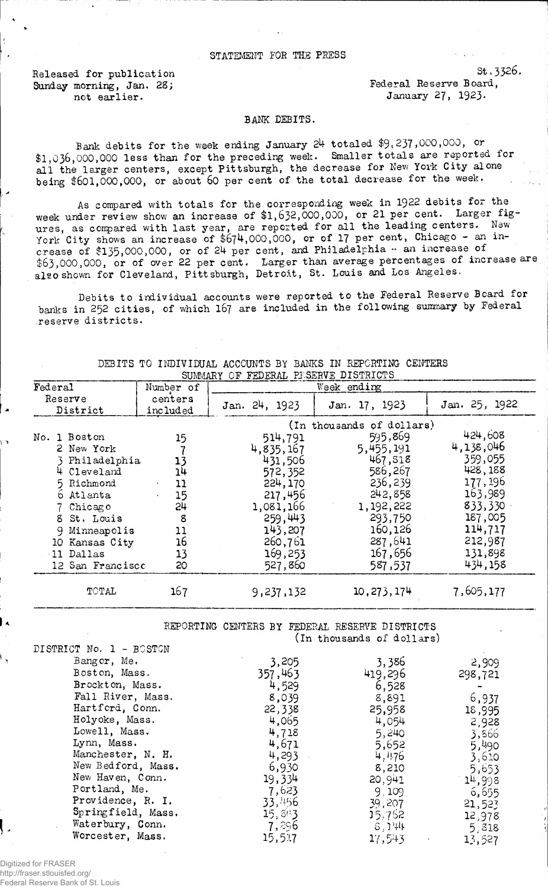Released for publication St.3326.<br>Sunday morning. Jan. 28: Sunday St.3326. Sunday morning, Jan. 28;

not earlier. January 27, 1923.

## BANK DEBITS.

Bank debits for the week ending January 24 totaled \$9.237,000,000, or \$1,036,000,000 less than for the preceding week. Smaller totals are reported for all the larger centers, except Pittsburgh, the decrease for New York City alone being \$601,000,000, or about 60 per cent of the total decrease for the week.

As compared with totals for the corresponding week in 1922 debits for the week under review show an increase of \$1,632,000,000, or 21 per cent. Larger figures, as compared with last year, are reported for all the leading centers. New York City shows an increase of \$674,000,000, or of 17 per cent, Chicago - an increase of \$135,000,000, or of 24 per cent, and Philadelphia •• an increase of \$63,000,000, or of over 22 per cent. Larger than average percentages of increase are aleo shown for Cleveland, Pittsburgh, Detroit, St. Louis and Los Angeles.

Debits to individual accounts were reported to the Federal Reserve Board for banks in 252 cities, of which 167 are included in the following summary by Federal reserve districts.

| SUMMARY OF FEDERAL FISERVE DISTRICTS                                                                                                               |                                                   |                                                                                                                  |                                                                                                                                             |                                                                                                               |  |
|----------------------------------------------------------------------------------------------------------------------------------------------------|---------------------------------------------------|------------------------------------------------------------------------------------------------------------------|---------------------------------------------------------------------------------------------------------------------------------------------|---------------------------------------------------------------------------------------------------------------|--|
| Federal                                                                                                                                            | Number of                                         | Week ending                                                                                                      |                                                                                                                                             |                                                                                                               |  |
| Reserve<br>District                                                                                                                                | centers<br>included                               | Jan. 24, 1923                                                                                                    | Jan. 17, 1923                                                                                                                               | Jan. 25, 1922                                                                                                 |  |
| No. 1 Boston<br>2 New York<br>Philadelphia<br>Cleveland<br>5 Richmond<br>6 Atlanta<br>Chicago<br>8 St. Louis<br>Minneapolis<br>9<br>10 Kansas City | 15<br>13<br>14<br>11<br>15<br>54<br>8<br>11<br>16 | 514,791<br>4,835,167<br>431,506<br>572, 352<br>224, 170<br>217,456<br>1,081,166<br>259,443<br>143,207<br>260,761 | (In thousands of dollars)<br>595,869<br>5,455,191<br>467,818<br>586,267<br>236,239<br>242,858<br>1,192,222<br>293,750<br>160,126<br>287,641 | 424,608<br>4,138,046<br>359,055<br>428,188<br>177, 196<br>163,989<br>833,330<br>187,005<br>114,717<br>212,987 |  |
| 11 Dallas<br>12 San Francisco                                                                                                                      | 13<br>20                                          | 169,253<br>527,860                                                                                               | 167,656<br>587,537                                                                                                                          | 131,898<br>434,158                                                                                            |  |
| TOTAL                                                                                                                                              | 167                                               | 9,237,132                                                                                                        | 10, 273, 174                                                                                                                                | 7,605,177                                                                                                     |  |

DEBITS TO INDIVIDUAL ACCOUNTS BY BANKS IN REPORTING CENTERS SUMMARY OF FEDERAL PI, SERVE DISTRICTS

> REPORTING CENTERS BY FEDERAL RESERVE DISTRICTS (in thousands of dollars)

| Bangor, Me.<br>3,205<br>3,386<br>2,909<br>357,463<br>Boston, Mass.<br>419,296<br>298,721<br>Brockton, Mass.<br>4,529<br>6,528<br>Fall River, Mass.<br>8,039<br>8,891<br>6,937 |  |  | DISTRICT No. 1 - BOSTON |
|-------------------------------------------------------------------------------------------------------------------------------------------------------------------------------|--|--|-------------------------|
|                                                                                                                                                                               |  |  |                         |
|                                                                                                                                                                               |  |  |                         |
|                                                                                                                                                                               |  |  |                         |
|                                                                                                                                                                               |  |  |                         |
| 22,338<br>25,958<br>18,995                                                                                                                                                    |  |  | Hartford, Conn.         |
| Holyoke, Mass.<br>4,065<br>4,054<br>2,928                                                                                                                                     |  |  |                         |
| Lowell, Mass.<br>4,718<br>5,240<br>3,866                                                                                                                                      |  |  |                         |
| Lynn, Mass.<br>4,671<br>5,652<br>5,490                                                                                                                                        |  |  |                         |
| Manchester, N. H.<br>4,293<br>4,476<br>3,610                                                                                                                                  |  |  |                         |
| New Bedford, Mass.<br>6,930<br>8,210<br>5,653                                                                                                                                 |  |  |                         |
| New Haven, Conn.<br>19,334<br>20,941<br>14,998                                                                                                                                |  |  |                         |
| Portland, Me.<br>7,623<br>9.109<br>6,655                                                                                                                                      |  |  |                         |
| Providence, R. I.<br>33,456<br>39,207<br>21,523                                                                                                                               |  |  |                         |
| Springfield, Mass.<br>15, 303<br>15.762<br>12,978                                                                                                                             |  |  |                         |
| Waterbury, Conn.<br>7,296<br>5,144<br>5,818                                                                                                                                   |  |  |                         |
| Worcester, Mass.<br>15,517<br>17,543<br>13,527                                                                                                                                |  |  |                         |

Digitized for FRASER http://fraser.stlouisfed.org/ Federal Reserve Bank of St. Louis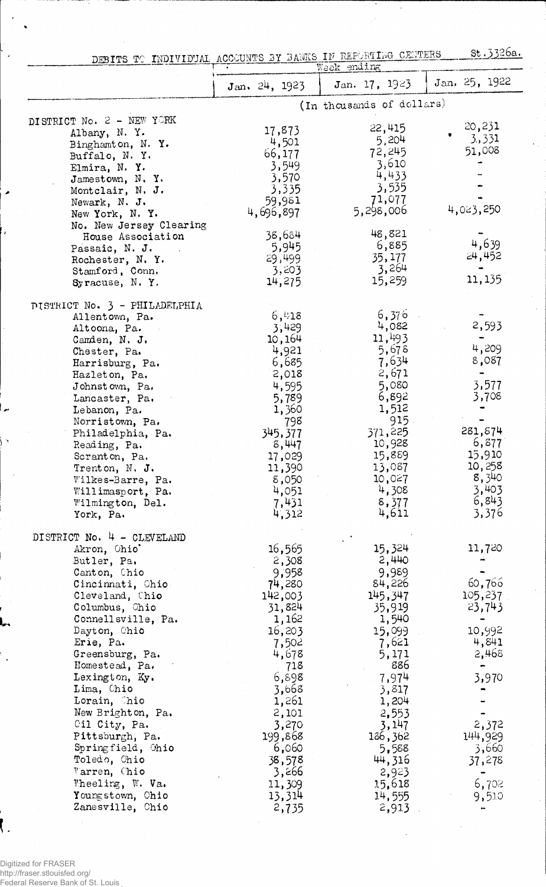| st.3326a.<br>DEBITS TO INDIVIDUAL ACCOUNTS BY BANKS IN REPORTING CENTERS<br>Week ending |                         |                           |               |  |
|-----------------------------------------------------------------------------------------|-------------------------|---------------------------|---------------|--|
|                                                                                         | $\text{Jan. } 24, 1923$ | Jan. 17, 1923             | Jan. 25, 1922 |  |
|                                                                                         |                         | (In thousands of dollars) |               |  |
| DISTRICT No. 2 - NEW YORK                                                               |                         | 22,415                    | 20,231        |  |
| Albany, N.Y.                                                                            | 17,873                  | 5,204                     | 3.,331        |  |
| Binghamton, N.Y.                                                                        | 4,501                   | 72,245                    | 51,008        |  |
| Buffalo, N. Y.                                                                          | 66,177                  | 3,610                     |               |  |
| Elmira, N. Y.                                                                           | 3,549                   | 4,433                     |               |  |
| Jamestown, N.Y.                                                                         | 3,570                   | 3,535                     |               |  |
| Montclair, N. J.                                                                        | 3,335                   | 71,077                    |               |  |
| Newark, N. J.                                                                           | 59,981<br>4,696,897     | 5,298,006                 | 4,023,250     |  |
| New York, N. Y.<br>No. New Jersey Clearing                                              |                         |                           |               |  |
| House Association                                                                       | 38,684                  | 48,821                    |               |  |
| Passaic, N. J.                                                                          | 5,945                   | 6,885                     | 4,639         |  |
| Rochester, N.Y.                                                                         | 29,499                  | 35,177                    | 24,452        |  |
| Stamford, Conn.                                                                         | 3,203                   | 3,264                     |               |  |
| Syracuse, N.Y.                                                                          | 14,275                  | 15,259                    | 11,135        |  |
| PISTRICT No. 3 - PHILADELPHIA                                                           |                         |                           |               |  |
| Allentown, Pa.                                                                          | 6,418                   | 6,376                     |               |  |
| Altoona, Pa.                                                                            | 3,429                   | 4,082<br>11,493           | 2,593         |  |
| Camden, N. J.                                                                           | 10,164                  |                           | 4,209         |  |
| Chester, Pa.                                                                            | 4,921                   | 5,678<br>7,634            | 8,087         |  |
| Harrisburg, Pa.                                                                         | 6,685                   | 2,671                     |               |  |
| Hazleton, Pa.                                                                           | 2,018<br>4,595          | 5,080                     | 3,577         |  |
| Johnstown, Pa.<br>Lancaster, Pa.                                                        | 5,789                   | 6,892                     | 3,708         |  |
| Lebanon, Pa.                                                                            | 1,360                   | 1,512                     |               |  |
| Norristown, Pa.                                                                         | 798                     | 915.                      |               |  |
| Philadelphia, Pa.                                                                       | 345,377                 | 371,225                   | 281,874       |  |
| Reading, Pa.                                                                            | 8,447                   | 10,928                    | 6,877         |  |
| Scranton, Pa.                                                                           | 17,029                  | 15,889                    | 15,910        |  |
| Trenton, $N$ . J.                                                                       | 11,390                  | 13,087                    | 10,258        |  |
| Wilkes-Barre, Pa.                                                                       | 8,050                   | 10,027                    | 8,340         |  |
| Willimasport, Pa.                                                                       | 4,051                   | 4,308                     | 3,403         |  |
| Wilmington, Del.                                                                        | 7,431                   | 8,377                     | 6,843         |  |
| York, Pa.                                                                               | 4,312                   | 4,611                     | 3,376         |  |
| DISTRICT No. 4 - CLEVELAND                                                              |                         |                           |               |  |
| Akron, Ohio'                                                                            | 16,565                  | 15,324                    | 11,720        |  |
| Butler, Pa.                                                                             | 2,308                   | 2,440                     |               |  |
| Canton, Chio<br>Cincinnati, Chio                                                        | 9,958<br>74,280         | 9,989<br>84,226           | 60,766        |  |
| Cleveland, Chio                                                                         | 142,003                 | 145,347                   | 105,237       |  |
| Columbus, Ohio                                                                          | 31,824                  | 35,919                    | 23,743        |  |
| Connellsville, Pa.                                                                      | 1,162                   | 1,540                     |               |  |
| Dayton, Chio                                                                            | 16,203                  | 15,099                    | 10,992        |  |
| Erie, Pa.                                                                               | 7,502                   | 7,621                     | 4,841         |  |
| Greensburg, Pa.                                                                         | 4,678                   | 5,171                     | 2,468         |  |
| Homestead, Pa.                                                                          | 718                     | 886                       |               |  |
| Lexington, Ky.                                                                          | 6,898                   | 7,974                     | 3,970         |  |
| Lima, Chio                                                                              | 3,668                   | 3,817                     |               |  |
| Lorain, Thio                                                                            | 1,261                   | 1,204                     |               |  |
| New Brighton, Pa.                                                                       | 2,101                   | 2,553                     |               |  |
| Cil City, Pa.                                                                           | 3,270                   | 3,147                     | 2,372         |  |
| Pittsburgh, Pa.                                                                         | 199,868                 | 136,362                   | 144,929       |  |
| Springfield, Ohio                                                                       | 6,060                   | 5,588                     | 3,660         |  |
| Toledo, Ohio                                                                            | 38,578                  | 44,316                    | 37,278        |  |
| Varren, Chio                                                                            | 3,266                   | 2,923                     |               |  |
| Wheeling, W. Va.                                                                        | 11,309                  | 15,618                    | 6,702         |  |
| Youngstown, Ohio                                                                        | 13,314                  | 14,555                    | 9,510         |  |
| Zanesville, Chio                                                                        | 2,735                   | 2,913                     |               |  |

Digitized for FRASER http://fraser.stlouisfed.org/ Federal Reserve Bank of St. Louis

ø

 $\ddot{\phantom{0}}$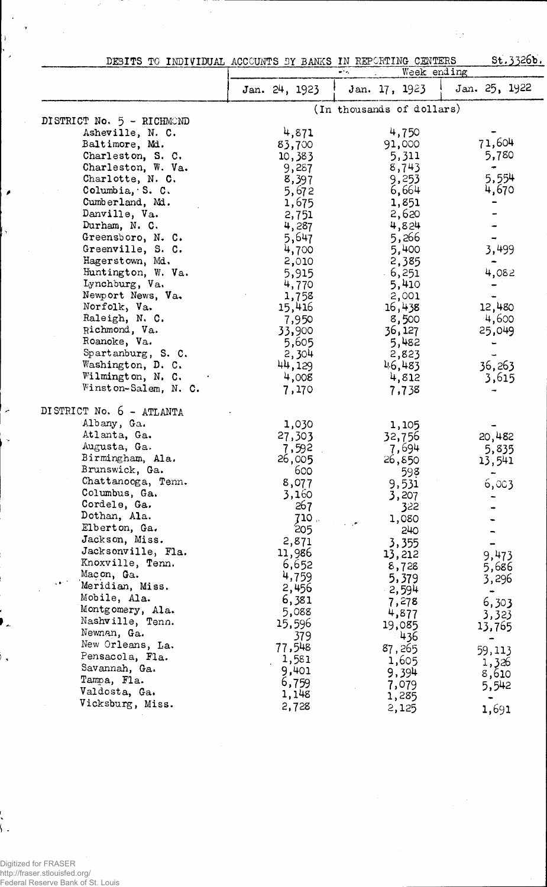| DEBITS TO INDIVIDUAL ACCOUNTS BY BANKS IN REPORTING CENTERS |               | ارداني<br>Week ending     | 5t.3326b.     |
|-------------------------------------------------------------|---------------|---------------------------|---------------|
|                                                             | Jan. 24, 1923 | Jan. 17, $1923$           | Jan. 25, 1922 |
|                                                             |               | (In thousands of dollars) |               |
| DISTRICT No. 5 - RICHMOND                                   |               |                           |               |
| Asheville, N. C.                                            | 4,871         | 4,750                     |               |
| Baltimore, Md.                                              | 83,700        | 91,000                    | 71,604        |
| Charleston, S. C.                                           | 10,383        | 5,311                     | 5,780         |
| Charleston, W. Va.                                          | 9,287         | 8,743                     |               |
| Charlotte, N. C.                                            | 8,397         | 9,253                     | 5,554         |
| Columbia, S. C.                                             | 5,672         | 6,664                     | 4,670         |
| Cumberland, Md.                                             | 1,675         | 1,851                     |               |
| Danville, Va.                                               | 2,751         | 2,620                     |               |
| Durham, N. C.                                               | 4,287         | 4,824                     |               |
| Greensboro, N. C.                                           | 5,647         | 5,266                     |               |
| Greenville, S. C.                                           | 4,700         | 5,400                     | 3,499         |
| Hagerstown, Md.                                             | 2,010         | 2,385                     |               |
| Huntington, W. Va.                                          | 5,915         | $-6,251$                  | 4,082         |
| Lynchburg, Va.                                              | 4,770         | 5,410                     |               |
| Newport News, Va.                                           | 1,758         | 2,001                     |               |
| Norfolk, Va.                                                | 15,416        | 16,438                    | 12,480        |
| Raleigh, N. C.                                              | 7,950         | 8,500                     | 4,600         |
| Richmond, Va.                                               | 33,900        | 36,127                    | 25,049        |
| Roanoke, Va.                                                | 5,605         | 5,482                     |               |
| Spartanburg, S. C.                                          | 2,304         | 2,823                     |               |
| Washington, D. C.                                           | 44,129        | 46,483                    | 36,263        |
| Wilmington, N. C.                                           | 4,008         | 4,812                     | 3,615         |
| Winston-Salem, N. C.                                        | 7,170         | 7,738                     |               |
| DISTRICT No. 6 - ATLANTA                                    |               |                           |               |
| Albany, Ga.                                                 | 1,030         | 1,105                     |               |
| Atlanta, Ga.                                                | 27,303        | 32,756                    | 20,482        |
| Augusta, Ga.                                                | 7,592         | 7,694                     |               |
| Birmingham, Ala.                                            | 26,005        | 26,850                    | 5,835         |
| Brunswick, Ga.                                              | 600           | 598                       | 13,541        |
| Chattanooga, Tenn.                                          | 8,077         | 9,531                     |               |
| Columbus, Ga.                                               | 3,160         |                           | 6,003         |
| Cordele, Ga.                                                | 267           | 3,207<br>322              |               |
| Dothan, Ala.                                                | 710.          | 1,080                     |               |
| Elberton, Ga.                                               | 205           | 540                       |               |
| Jackson, Miss.                                              | 2,871         |                           |               |
| Jacksonville, Fla.                                          | 11,986        | 3,355                     |               |
| Knoxville, Tenn.                                            | 6,652         | 13,212                    | 9,473         |
| Macon, Ga.                                                  | 4,759         | 8,728                     | 5,686         |
| Meridian, Miss.                                             |               | 5,379                     | 3,296         |
| Mobile, Ala.                                                | 2,456         | 2,594                     |               |
| Montgomery, Ala.                                            | 6,381         | 7,278                     | 6,303         |
| Nashville, Tenn.                                            | 5,088         | 4,877                     | 3,323         |
| Newnan, Ga.                                                 | 15,596        | 19,085                    | 13,765        |
| New Orleans, La.                                            | 379           | 436                       |               |
| Pensacola, Fla.                                             | 77,548        | 87,265                    | 59,113        |
| Savannah, Ga.                                               | 1,581         | 1,605                     | 1,326         |
| Tampa, Fla.                                                 | 9,401         | 9,394                     | 8,610         |
| Valdosta, Ga.                                               | 6,759         | 7,079                     | 5,542         |
|                                                             | 1,148         | 1,285                     |               |

 $2,125$   $1,691$ 

 $\mathbb{Q}_2$ 

Digitized for FRASER http://fraser.stlouisfed.org/ Federal Reserve Bank of St. Louis

Vicksburg, Miss.

 $\hat{\mathcal{S}}$ 

 $\ddot{\phantom{0}}$  $\hat{\boldsymbol{\sigma}}$ 

 $\frac{1}{2}$  $\frac{1}{2}$ 

 $\overline{\phantom{a}}$ 

ļ.

 $\overline{a}$ 

 $\downarrow$ 

١.

 $\mathbf{L}$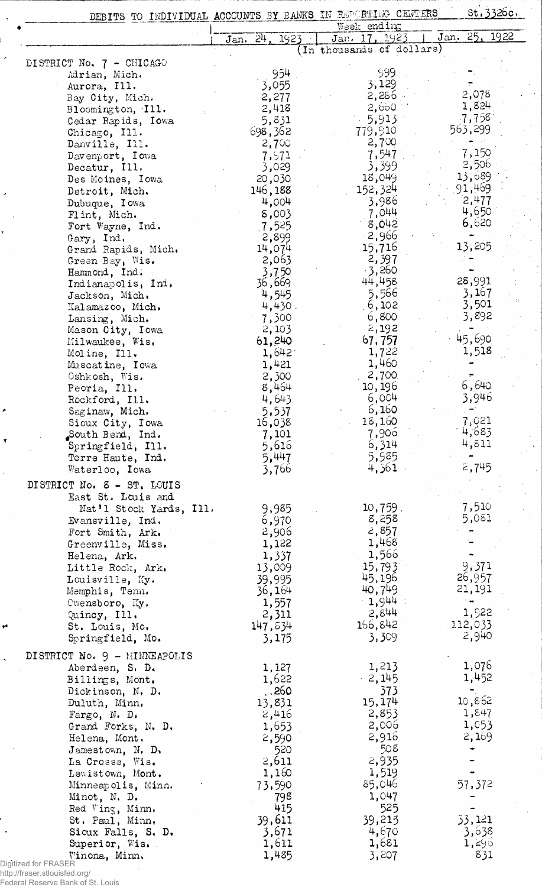| DEBITS TO INDIVIDUAL ACCOUNTS BY BANKS IN REPORTING CENTERS |                |                              | <u>St.3326c.</u> |
|-------------------------------------------------------------|----------------|------------------------------|------------------|
|                                                             | Jan. 24, 1923  | Week ending<br>Jan. 17, 1923 | Jan. 25, 1922    |
|                                                             |                | (In thousands of dollars)    |                  |
| DISTRICT No. 7 - CHICAGO                                    |                |                              |                  |
| Adrian, Mich.                                               | 954            | 999                          |                  |
| Aurora, Ill.                                                | 3,055          | 3,129                        | $-2,078$         |
| Bay City, Mich.                                             | 2,277          | $2,286$ .<br>2,600           | 1,824            |
| Bloomington, Ill.                                           | 2,418          | 5,913                        | 7,758            |
| Cedar Rapids, Iowa                                          | 5,831          | 779,910                      | 563,299          |
| Chicago, Ill.                                               | 698,362        | 2,700                        |                  |
| Danville, Ill.                                              | 2,700          | 7,547                        | 7,150            |
| Davenport, Iowa                                             | 7,571          | 3,399                        | 2,506            |
| Decatur, Ill.                                               | 3,029          | 18,049                       | 13,689           |
| Des Moines, Iowa                                            | 20,030         | 152,324                      | 91,469           |
| Detroit, Mich.                                              | 146,188        | 3,986                        | 2,477            |
| Dubuque, Iowa                                               | 4,004          | 7,044                        | 4,650            |
| Flint, Mich.                                                | 8,003          | 8,042                        | 6,620            |
| Fort Wayne, Ind.                                            | 7,525          | $-2,966$                     |                  |
| Gary, Ind.                                                  | 2,899          | 15,716                       | 13,205           |
| Grand Rapids, Mich.                                         | 14,074         | 2,397                        |                  |
| Green Bay, Wis.                                             | 2,063          | $-3,260$                     |                  |
| Hammond, Ind.                                               | 3,750          | 44,458                       | 28,991           |
| Indianapolis, Ind.                                          | 36,669         |                              | 3,167            |
| Jackson, Mich.                                              | 4,545          | 5,566                        | 3,501            |
| Kalamazoo, Mich.                                            | 4,430.         | 6,102                        | 3,892            |
| Lansing, Mich.                                              | 7,300          | 6,800                        |                  |
| Mason City, Iowa                                            | 2,103          | 2,192                        | $+45,690$        |
| Milwaukee, Wis.                                             | 61,240         | 67,757                       | 1,518            |
| Moline, Ill.                                                | 1,642          | 1,722                        |                  |
| Muscatine, Iowa                                             | 1,421          | 1,460                        |                  |
| Oshkosh, Wis.                                               | 2,300          | 2,700.                       | 6,640            |
| Peoria, Ill.                                                | 8,464          | 10,196                       | 3,946            |
| Rockford, Ill.                                              | 4,643          | 6,004                        |                  |
| Saginaw, Mich.                                              | 5,537          | 6,160<br>18,160              | 7,021            |
| Sioux City, Iowa                                            | 16,038         |                              | 4,683            |
| South Bend, Ind.                                            | 7,101          | 7,906                        | 4,811            |
| Springfield, Ill.                                           | 5,616          | 6,314                        |                  |
| Terre Haute, Ind.                                           | 5,447          | 5,985                        | 2,745            |
| Waterloo, Iowa                                              | 3,766          | 4,361                        |                  |
| DISTRICT No. 8 - ST. LOUIS                                  |                |                              |                  |
| East St. Louis and                                          |                |                              |                  |
| Nat'l Stock Yards, Ill.                                     | 9,985          | $10,759$ .                   | 7,510            |
| Evansville, Ind.                                            | 6,970          | 8,258                        | 5,081            |
| Fort Smith, Ark.                                            | 2,906          | 2,857                        |                  |
| Greenville, Miss.                                           | 1,122          | 1,468                        |                  |
| Helena, Ark.                                                | 1,337          | 1,566                        |                  |
| Little Rock, Ark.                                           | 13,009         | 15,793                       | 9,371            |
| Louisville, Ky.                                             | 39,995         | 45,196                       | 26,957           |
| Memphis, Tenn.                                              | 36,164         | 40,749                       | 21,191           |
| Cwensboro, Ky.                                              | 1,557          | $-1,944$                     | $\sim$           |
| Quincy, Ill.                                                | 2,311          | 2,844                        | 1,922            |
| St. Louis, Mo.                                              | 147,534        | 166,842                      | 112,033          |
| Springfield, Mo.                                            | 3,175          | 3,309                        | 2,940            |
| DISTRICT No. 9 - MINNEAPOLIS                                |                |                              |                  |
| Aberdeen, S. D.                                             | 1,127          | 1,213                        | 1,076            |
| Billings, Mont.                                             | 1,622          | $-2,145$                     | 1,452            |
| Dickinson, N. D.                                            | .260           | 373                          |                  |
| Duluth, Minn.                                               | 13,831         | 15,174                       | 10,862           |
|                                                             | 2,416          | 2,853                        | 1,847            |
|                                                             |                |                              | 1,053            |
| Fargo, N. D.                                                |                |                              |                  |
| Grand Forks, N. D.                                          | 1,653          | 2,006                        |                  |
| Helena, Mont.                                               | 2,590          | 2,916                        | 2,169            |
| Jamestown, N. D.                                            | 520            | 508                          |                  |
| La Crosse, Wis.                                             | 2,611          | 2,935                        |                  |
| Lewistown, Mont.                                            | 1,160          | 1,519                        |                  |
| Minneapolis, Minn.                                          | 73,590         | 85,046                       | 57,372           |
| Minot, N. D.                                                | 798            | 1,047                        |                  |
| Red Ving, Minn.                                             | 415            | 525                          |                  |
| St. Paul, Minn.                                             | 39,611         | 39,215                       | 33,121           |
| Sioux Falls, S. D.                                          | 3,671          | 4,670                        | 3,638            |
| Superior, Wis.<br>Winona, Minn.                             | 1,611<br>1,485 | 1,681<br>3,207               | 1,296<br>831     |

 $\frac{1}{2}$ 

Federal Reserve Bank of St. Louis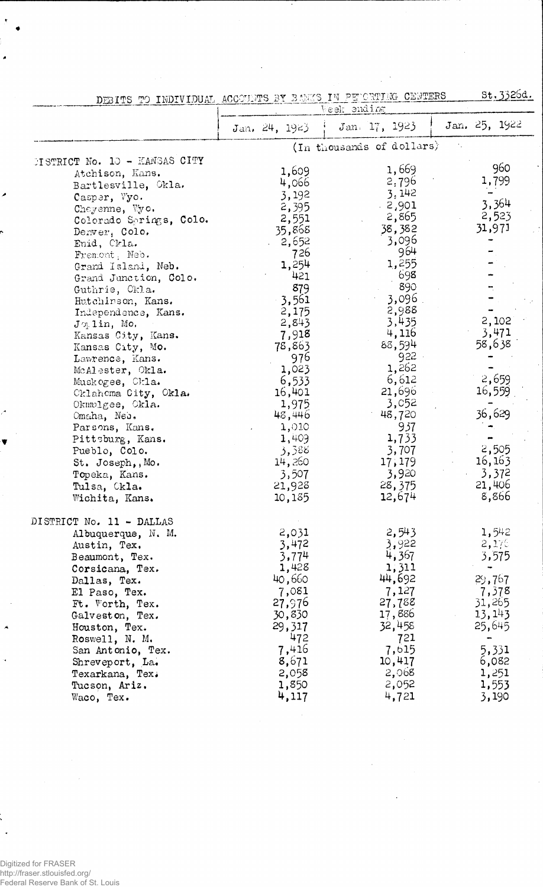|                                                                                                                                                                                                                                                                                                                                                                                                                                                                                                                                                | DEBITS TO INDIVIDUAL ACCOUNTS BY BANKS IN PENCRITE CENTERS<br>55.3204.<br>Week ending                                                                                                                                     |                                                                                                                                                                                                                                |                                                                                                                        |  |
|------------------------------------------------------------------------------------------------------------------------------------------------------------------------------------------------------------------------------------------------------------------------------------------------------------------------------------------------------------------------------------------------------------------------------------------------------------------------------------------------------------------------------------------------|---------------------------------------------------------------------------------------------------------------------------------------------------------------------------------------------------------------------------|--------------------------------------------------------------------------------------------------------------------------------------------------------------------------------------------------------------------------------|------------------------------------------------------------------------------------------------------------------------|--|
|                                                                                                                                                                                                                                                                                                                                                                                                                                                                                                                                                | Jan. 24. 1923                                                                                                                                                                                                             | Jan. 17, 1923                                                                                                                                                                                                                  | Jan. 25, 1922                                                                                                          |  |
|                                                                                                                                                                                                                                                                                                                                                                                                                                                                                                                                                |                                                                                                                                                                                                                           | (In thousands of dollars)                                                                                                                                                                                                      |                                                                                                                        |  |
| DISTRICT No. 10 - KANSAS CITY<br>Atchison, Kans.<br>Bartlesville, Okla.<br>Casper, Vyo.<br>Cheyenne, Wyo.<br>Colorado Springs, Colo.<br>Denver, Colo.<br>Enid, Ckla.<br>Fremont, Neb.<br>Grand Island, Neb.<br>Grand Junction, Colo.<br>Guthrie, Okla.<br>Hutchinson, Kans.<br>Independence, Kans.<br>$J\gamma$ lin, Mo.<br>Kansas City, Kans.<br>Kansas City, Mo.<br>Lawrence, Kans.<br>McAlester, Okla.<br>Muskogee, Clila.<br>Oklahoma City, Okla.<br>Okmulgee, Okla.<br>Omaha, Neo.<br>Parsons, Kans.<br>Pittsburg, Kans.<br>Pueblo, Colo. | 1,609<br>4,066<br>3,192<br>2,395<br>2,551<br>35,868<br>2,652<br>726<br>1,254<br>421<br>879<br>3,561<br>2,175<br>2,843<br>7,918<br>78,863<br>976<br>1,023<br>6,533<br>16,401<br>1,975<br>48,446<br>1,010<br>1,409<br>3,388 | 1,669<br>2,796<br>3,142<br>$-2,901$<br>2,865<br>38,382<br>3,096<br>964<br>1,255<br>698<br>890<br>3,096<br>2,988<br>3,435<br>4,116<br>88,594<br>$922 -$<br>1,262<br>6,612<br>21,696<br>3,052<br>48,720<br>937<br>1,733<br>3,707 | 960<br>1,799<br>3,364<br>2,523<br>31,971<br>2,102<br>3,471<br>58,638<br>2,659<br>16,559<br>36,629<br>2,505             |  |
| St. Joseph,, Mo.<br>Topeka, Kans.<br>Tulsa, Ckla.<br>Wichita, Kans.                                                                                                                                                                                                                                                                                                                                                                                                                                                                            | 14,260<br>3,507<br>21,928<br>10,185                                                                                                                                                                                       | 17,179<br>3,920<br>28,375<br>12,674                                                                                                                                                                                            | 16,163<br>3,372<br>21,406<br>8,866                                                                                     |  |
| DISTRICT No. 11 - DALLAS<br>Albuquerque, N. M.<br>Austin, Tex.<br>Beaumont, Tex.<br>Corsicana, Tex.<br>Dallas, Tex.<br>El Paso, Tex.<br>Ft. Worth, Tex.<br>Galveston, Tex.<br>Houston, Tex.<br>Roswell, N. M.<br>San Antonio, Tex.<br>Shreveport, La.<br>Texarkana, Tex.<br>Tucson, Ariz.<br>Waco, Tex.                                                                                                                                                                                                                                        | 2,031<br>3,472<br>3,774<br>1,428<br>40,660<br>7,081<br>27,976<br>30,830<br>29,317<br>472<br>7,416<br>8,671<br>2,058<br>1,850<br>4,117                                                                                     | 2,543<br>3,922<br>4,367<br>1,311<br>44,692<br>7,127<br>27,788<br>17,886<br>32,458<br>721<br>7,615<br>10,417<br>2,068<br>2,052<br>4,721                                                                                         | 1,542<br>2,170<br>3,575<br>29,767<br>7,378<br>31,265<br>13, 143<br>25,645<br>5,331<br>6,082<br>1,251<br>1,553<br>3,190 |  |

na marka na sa  $\mathbf{r}$  $\sim$   $\sim$  $\overline{a}$ 

 $\hat{\boldsymbol{\beta}}$  $\hat{\boldsymbol{\beta}}$ 

 $\overline{a}$ 

 $7326a$  $C_{\pm}$ 

l,

֧֖֚֚֚֡֝<br>֞֩  $\ddot{\phantom{1}}$